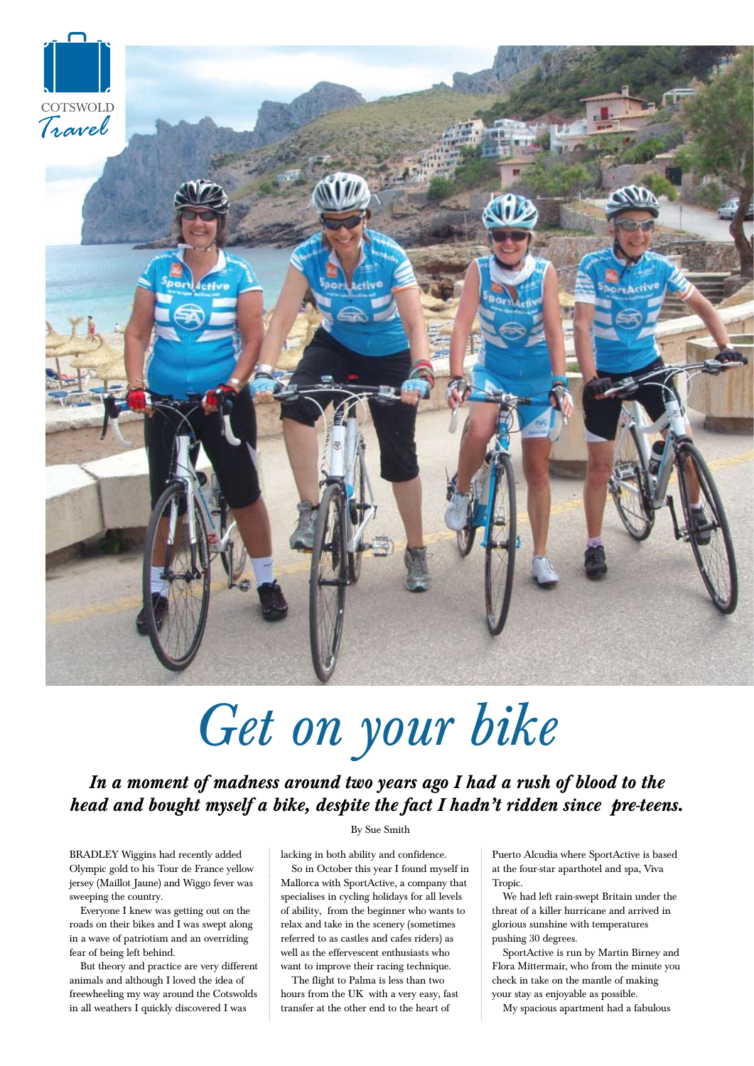

## *Get on your bike*

*In a moment of madness around two years ago I had a rush of blood to the head and bought myself a bike, despite the fact I hadn't ridden since pre-teens.*

BRADLEY Wiggins had recently added Olympic gold to his Tour de France yellow jersey (Maillot Jaune) and Wiggo fever was sweeping the country.

Everyone I knew was getting out on the roads on their bikes and I was swept along in a wave of patriotism and an overriding fear of being left behind.

But theory and practice are very different animals and although I loved the idea of freewheeling my way around the Cotswolds in all weathers I quickly discovered I was

## By Sue Smith

lacking in both ability and confidence.

So in October this year I found myself in Mallorca with SportActive, a company that specialises in cycling holidays for all levels of ability, from the beginner who wants to relax and take in the scenery (sometimes referred to as castles and cafes riders) as well as the effervescent enthusiasts who want to improve their racing technique.

The flight to Palma is less than two hours from the UK with a very easy, fast transfer at the other end to the heart of

Puerto Alcudia where SportActive is based at the four-star aparthotel and spa, Viva Tropic.

We had left rain-swept Britain under the threat of a killer hurricane and arrived in glorious sunshine with temperatures pushing 30 degrees.

SportActive is run by Martin Birney and Flora Mittermair, who from the minute you check in take on the mantle of making your stay as enjoyable as possible.

My spacious apartment had a fabulous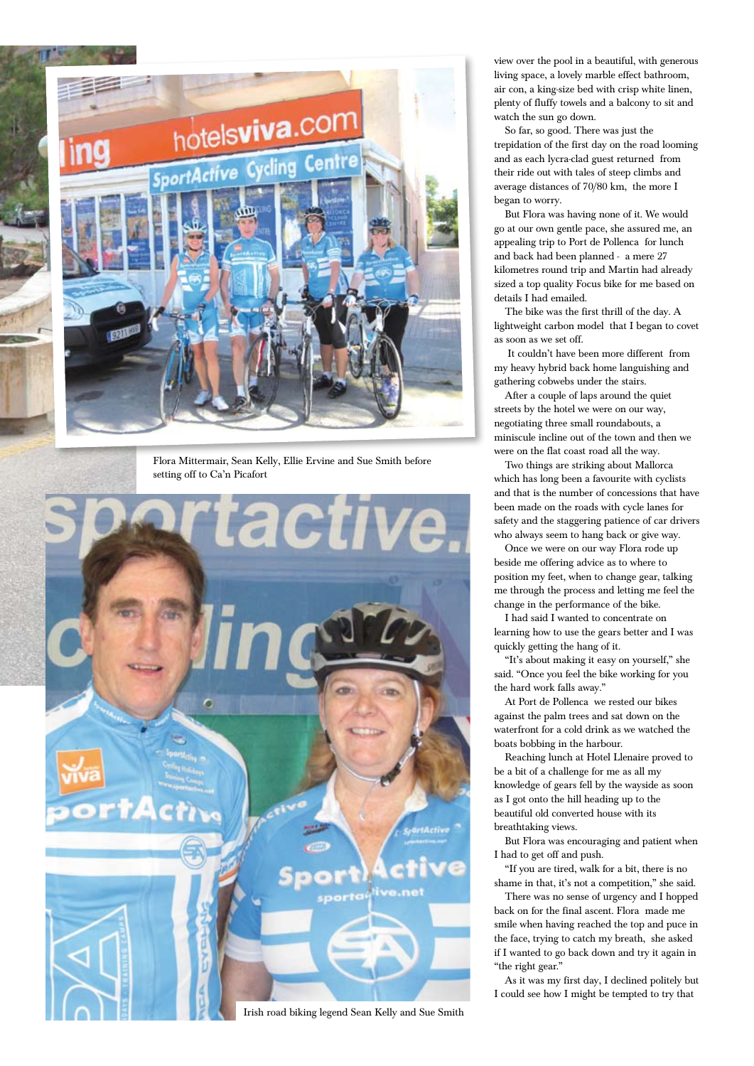

Flora Mittermair, Sean Kelly, Ellie Ervine and Sue Smith before setting off to Ca'n Picafort



Irish road biking legend Sean Kelly and Sue Smith

view over the pool in a beautiful, with generous living space, a lovely marble effect bathroom, air con, a king-size bed with crisp white linen, plenty of fluffy towels and a balcony to sit and watch the sun go down.

So far, so good. There was just the trepidation of the first day on the road looming and as each lycra-clad guest returned from their ride out with tales of steep climbs and average distances of 70/80 km, the more I began to worry.

But Flora was having none of it. We would go at our own gentle pace, she assured me, an appealing trip to Port de Pollenca for lunch and back had been planned - a mere 27 kilometres round trip and Martin had already sized a top quality Focus bike for me based on details I had emailed.

The bike was the first thrill of the day. A lightweight carbon model that I began to covet as soon as we set off.

 It couldn't have been more different from my heavy hybrid back home languishing and gathering cobwebs under the stairs.

After a couple of laps around the quiet streets by the hotel we were on our way, negotiating three small roundabouts, a miniscule incline out of the town and then we were on the flat coast road all the way.

Two things are striking about Mallorca which has long been a favourite with cyclists and that is the number of concessions that have been made on the roads with cycle lanes for safety and the staggering patience of car drivers who always seem to hang back or give way.

Once we were on our way Flora rode up beside me offering advice as to where to position my feet, when to change gear, talking me through the process and letting me feel the change in the performance of the bike.

I had said I wanted to concentrate on learning how to use the gears better and I was quickly getting the hang of it.

"It's about making it easy on yourself," she said. "Once you feel the bike working for you the hard work falls away."

At Port de Pollenca we rested our bikes against the palm trees and sat down on the waterfront for a cold drink as we watched the boats bobbing in the harbour.

Reaching lunch at Hotel Llenaire proved to be a bit of a challenge for me as all my knowledge of gears fell by the wayside as soon as I got onto the hill heading up to the beautiful old converted house with its breathtaking views.

But Flora was encouraging and patient when I had to get off and push.

"If you are tired, walk for a bit, there is no shame in that, it's not a competition," she said.

There was no sense of urgency and I hopped back on for the final ascent. Flora made me smile when having reached the top and puce in the face, trying to catch my breath, she asked if I wanted to go back down and try it again in "the right gear."

As it was my first day, I declined politely but I could see how I might be tempted to try that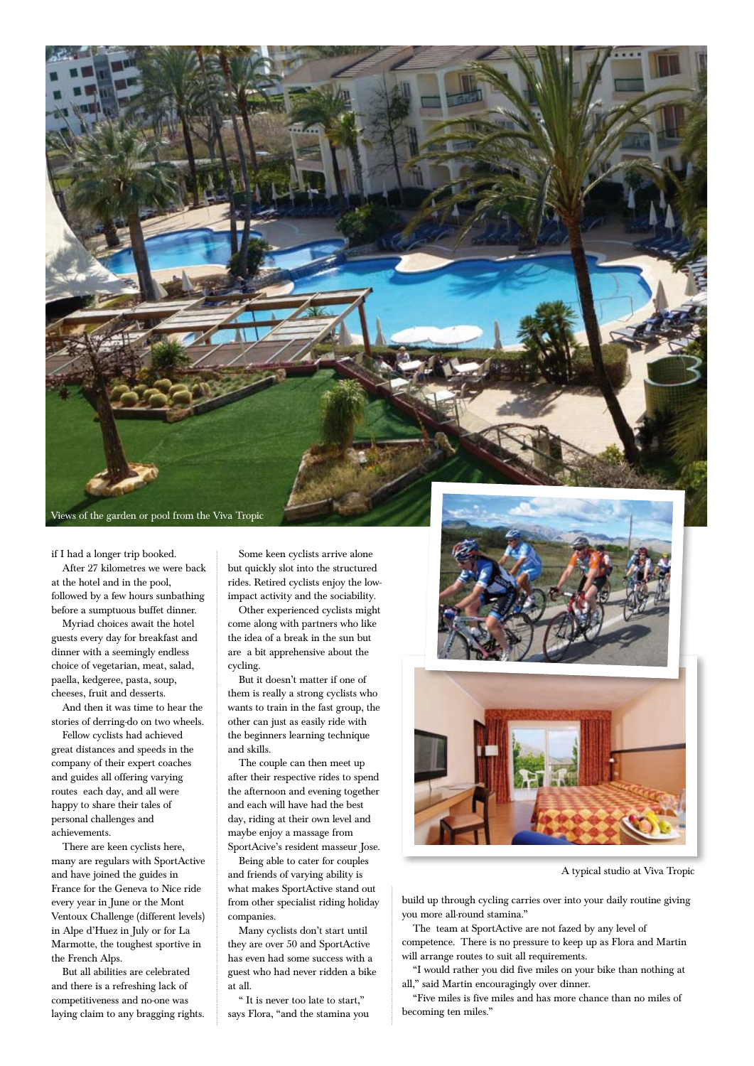

if I had a longer trip booked. After 27 kilometres we were back at the hotel and in the pool, followed by a few hours sunbathing before a sumptuous buffet dinner.

Myriad choices await the hotel guests every day for breakfast and dinner with a seemingly endless choice of vegetarian, meat, salad, paella, kedgeree, pasta, soup, cheeses, fruit and desserts.

And then it was time to hear the stories of derring-do on two wheels.

Fellow cyclists had achieved great distances and speeds in the company of their expert coaches and guides all offering varying routes each day, and all were happy to share their tales of personal challenges and achievements.

There are keen cyclists here, many are regulars with SportActive and have joined the guides in France for the Geneva to Nice ride every year in June or the Mont Ventoux Challenge (different levels) in Alpe d'Huez in July or for La Marmotte, the toughest sportive in the French Alps.

But all abilities are celebrated and there is a refreshing lack of competitiveness and no-one was laying claim to any bragging rights.

Some keen cyclists arrive alone but quickly slot into the structured rides. Retired cyclists enjoy the lowimpact activity and the sociability.

Other experienced cyclists might come along with partners who like the idea of a break in the sun but are a bit apprehensive about the cycling.

But it doesn't matter if one of them is really a strong cyclists who wants to train in the fast group, the other can just as easily ride with the beginners learning technique and skills.

The couple can then meet up after their respective rides to spend the afternoon and evening together and each will have had the best day, riding at their own level and maybe enjoy a massage from SportAcive's resident masseur Jose.

Being able to cater for couples and friends of varying ability is what makes SportActive stand out from other specialist riding holiday companies.

Many cyclists don't start until they are over 50 and SportActive has even had some success with a guest who had never ridden a bike at all.

" It is never too late to start," says Flora, "and the stamina you





A typical studio at Viva Tropic

build up through cycling carries over into your daily routine giving you more all-round stamina."

The team at SportActive are not fazed by any level of competence. There is no pressure to keep up as Flora and Martin will arrange routes to suit all requirements.

"I would rather you did five miles on your bike than nothing at all," said Martin encouragingly over dinner.

"Five miles is five miles and has more chance than no miles of becoming ten miles."